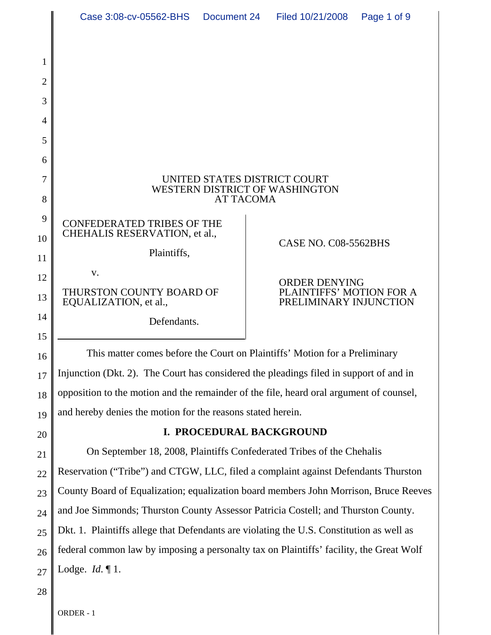|                                         | Case 3:08-cv-05562-BHS                                                                                                                                                            | Document 24 |                                                                                                    | Filed 10/21/2008 | Page 1 of 9 |
|-----------------------------------------|-----------------------------------------------------------------------------------------------------------------------------------------------------------------------------------|-------------|----------------------------------------------------------------------------------------------------|------------------|-------------|
| 1<br>$\overline{2}$<br>3<br>4<br>5<br>6 |                                                                                                                                                                                   |             |                                                                                                    |                  |             |
| 7<br>8                                  | UNITED STATES DISTRICT COURT<br><b>WESTERN DISTRICT OF WASHINGTON</b><br><b>AT TACOMA</b>                                                                                         |             |                                                                                                    |                  |             |
| 9<br>10<br>11                           | <b>CONFEDERATED TRIBES OF THE</b><br>CHEHALIS RESERVATION, et al.,<br>Plaintiffs,<br>V.<br>THURSTON COUNTY BOARD OF<br>EQUALIZATION, et al.,<br>Defendants.                       |             | CASE NO. C08-5562BHS<br><b>ORDER DENYING</b><br>PLAINTIFFS' MOTION FOR A<br>PRELIMINARY INJUNCTION |                  |             |
| 12<br>13<br>14                          |                                                                                                                                                                                   |             |                                                                                                    |                  |             |
| 15<br>16                                | This matter comes before the Court on Plaintiffs' Motion for a Preliminary                                                                                                        |             |                                                                                                    |                  |             |
| 17                                      | Injunction (Dkt. 2). The Court has considered the pleadings filed in support of and in<br>opposition to the motion and the remainder of the file, heard oral argument of counsel, |             |                                                                                                    |                  |             |
| 18<br>19                                | and hereby denies the motion for the reasons stated herein.                                                                                                                       |             |                                                                                                    |                  |             |
| 20                                      | I. PROCEDURAL BACKGROUND                                                                                                                                                          |             |                                                                                                    |                  |             |
| 21                                      | On September 18, 2008, Plaintiffs Confederated Tribes of the Chehalis                                                                                                             |             |                                                                                                    |                  |             |
| 22                                      | Reservation ("Tribe") and CTGW, LLC, filed a complaint against Defendants Thurston                                                                                                |             |                                                                                                    |                  |             |
| 23                                      | County Board of Equalization; equalization board members John Morrison, Bruce Reeves                                                                                              |             |                                                                                                    |                  |             |
| 24                                      | and Joe Simmonds; Thurston County Assessor Patricia Costell; and Thurston County.                                                                                                 |             |                                                                                                    |                  |             |
| 25                                      | Dkt. 1. Plaintiffs allege that Defendants are violating the U.S. Constitution as well as                                                                                          |             |                                                                                                    |                  |             |
| 26                                      | federal common law by imposing a personalty tax on Plaintiffs' facility, the Great Wolf                                                                                           |             |                                                                                                    |                  |             |
| 27                                      | Lodge. $Id. \P 1$ .                                                                                                                                                               |             |                                                                                                    |                  |             |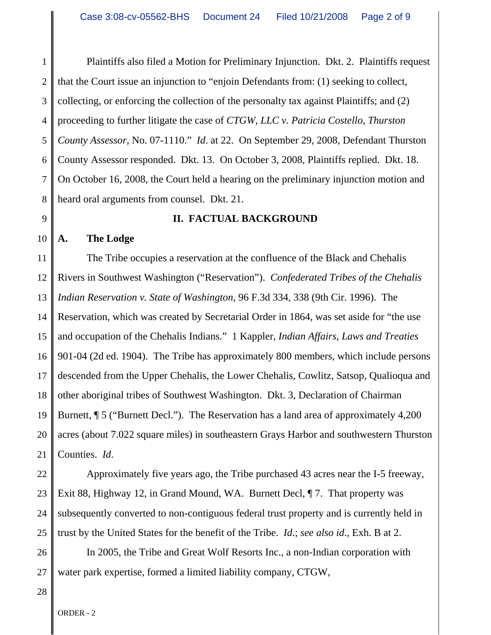1 2 3 4 5 6 7 8 Plaintiffs also filed a Motion for Preliminary Injunction. Dkt. 2. Plaintiffs request that the Court issue an injunction to "enjoin Defendants from: (1) seeking to collect, collecting, or enforcing the collection of the personalty tax against Plaintiffs; and (2) proceeding to further litigate the case of *CTGW, LLC v. Patricia Costello, Thurston County Assessor*, No. 07-1110." *Id*. at 22. On September 29, 2008, Defendant Thurston County Assessor responded. Dkt. 13. On October 3, 2008, Plaintiffs replied. Dkt. 18. On October 16, 2008, the Court held a hearing on the preliminary injunction motion and heard oral arguments from counsel. Dkt. 21.

9

#### **II. FACTUAL BACKGROUND**

10 **A. The Lodge**

11 12 13 14 15 16 17 18 19 20 21 The Tribe occupies a reservation at the confluence of the Black and Chehalis Rivers in Southwest Washington ("Reservation"). *Confederated Tribes of the Chehalis Indian Reservation v. State of Washington*, 96 F.3d 334, 338 (9th Cir. 1996). The Reservation, which was created by Secretarial Order in 1864, was set aside for "the use and occupation of the Chehalis Indians." 1 Kappler, *Indian Affairs, Laws and Treaties* 901-04 (2d ed. 1904). The Tribe has approximately 800 members, which include persons descended from the Upper Chehalis, the Lower Chehalis, Cowlitz, Satsop, Qualioqua and other aboriginal tribes of Southwest Washington. Dkt. 3, Declaration of Chairman Burnett, ¶ 5 ("Burnett Decl."). The Reservation has a land area of approximately 4,200 acres (about 7.022 square miles) in southeastern Grays Harbor and southwestern Thurston Counties. *Id*.

22 23 24 25 Approximately five years ago, the Tribe purchased 43 acres near the I-5 freeway, Exit 88, Highway 12, in Grand Mound, WA. Burnett Decl, ¶ 7. That property was subsequently converted to non-contiguous federal trust property and is currently held in trust by the United States for the benefit of the Tribe. *Id*.; *see also id*., Exh. B at 2.

26 27 In 2005, the Tribe and Great Wolf Resorts Inc., a non-Indian corporation with water park expertise, formed a limited liability company, CTGW,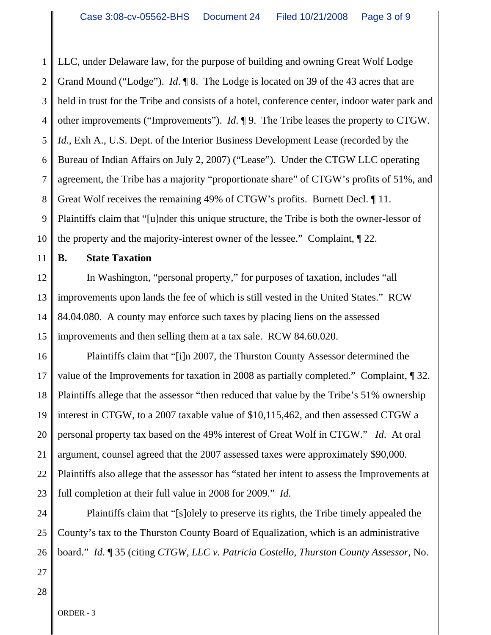1 2 3 4 5 6 7 8 9 10 LLC, under Delaware law, for the purpose of building and owning Great Wolf Lodge Grand Mound ("Lodge"). *Id*. ¶ 8. The Lodge is located on 39 of the 43 acres that are held in trust for the Tribe and consists of a hotel, conference center, indoor water park and other improvements ("Improvements"). *Id*. ¶ 9. The Tribe leases the property to CTGW. *Id.*, Exh A., U.S. Dept. of the Interior Business Development Lease (recorded by the Bureau of Indian Affairs on July 2, 2007) ("Lease"). Under the CTGW LLC operating agreement, the Tribe has a majority "proportionate share" of CTGW's profits of 51%, and Great Wolf receives the remaining 49% of CTGW's profits. Burnett Decl. ¶ 11. Plaintiffs claim that "[u]nder this unique structure, the Tribe is both the owner-lessor of the property and the majority-interest owner of the lessee." Complaint, ¶ 22.

11 **B. State Taxation**

12 13 14 15 In Washington, "personal property," for purposes of taxation, includes "all improvements upon lands the fee of which is still vested in the United States." RCW 84.04.080. A county may enforce such taxes by placing liens on the assessed improvements and then selling them at a tax sale. RCW 84.60.020.

16 17 18 19 20 21 22 23 Plaintiffs claim that "[i]n 2007, the Thurston County Assessor determined the value of the Improvements for taxation in 2008 as partially completed." Complaint, ¶ 32. Plaintiffs allege that the assessor "then reduced that value by the Tribe's 51% ownership interest in CTGW, to a 2007 taxable value of \$10,115,462, and then assessed CTGW a personal property tax based on the 49% interest of Great Wolf in CTGW." *Id*. At oral argument, counsel agreed that the 2007 assessed taxes were approximately \$90,000. Plaintiffs also allege that the assessor has "stated her intent to assess the Improvements at full completion at their full value in 2008 for 2009." *Id*.

24 25 26 Plaintiffs claim that "[s]olely to preserve its rights, the Tribe timely appealed the County's tax to the Thurston County Board of Equalization, which is an administrative board." *Id*. ¶ 35 (citing *CTGW, LLC v. Patricia Costello, Thurston County Assessor*, No.

27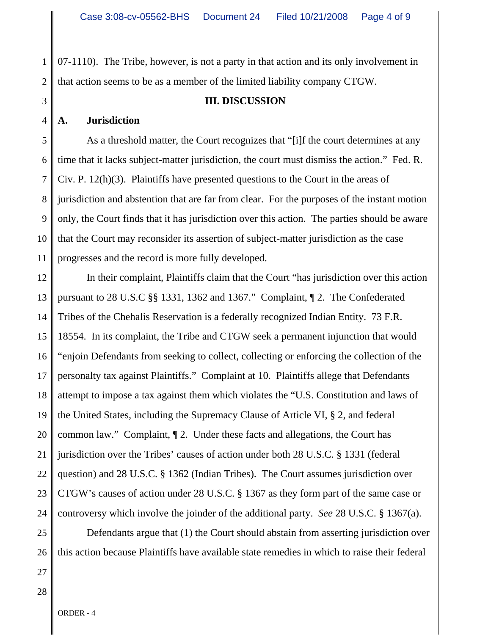1 2 07-1110). The Tribe, however, is not a party in that action and its only involvement in that action seems to be as a member of the limited liability company CTGW.

#### **III. DISCUSSION**

## **A. Jurisdiction**

3

4

5 6 7 8 9 10 11 As a threshold matter, the Court recognizes that "[i]f the court determines at any time that it lacks subject-matter jurisdiction, the court must dismiss the action." Fed. R. Civ. P. 12(h)(3). Plaintiffs have presented questions to the Court in the areas of jurisdiction and abstention that are far from clear. For the purposes of the instant motion only, the Court finds that it has jurisdiction over this action. The parties should be aware that the Court may reconsider its assertion of subject-matter jurisdiction as the case progresses and the record is more fully developed.

12 13 14 15 16 17 18 19 20 21 22 23 24 In their complaint, Plaintiffs claim that the Court "has jurisdiction over this action pursuant to 28 U.S.C §§ 1331, 1362 and 1367." Complaint, ¶ 2. The Confederated Tribes of the Chehalis Reservation is a federally recognized Indian Entity. 73 F.R. 18554. In its complaint, the Tribe and CTGW seek a permanent injunction that would "enjoin Defendants from seeking to collect, collecting or enforcing the collection of the personalty tax against Plaintiffs." Complaint at 10. Plaintiffs allege that Defendants attempt to impose a tax against them which violates the "U.S. Constitution and laws of the United States, including the Supremacy Clause of Article VI, § 2, and federal common law." Complaint, ¶ 2. Under these facts and allegations, the Court has jurisdiction over the Tribes' causes of action under both 28 U.S.C. § 1331 (federal question) and 28 U.S.C. § 1362 (Indian Tribes). The Court assumes jurisdiction over CTGW's causes of action under 28 U.S.C. § 1367 as they form part of the same case or controversy which involve the joinder of the additional party. *See* 28 U.S.C. § 1367(a).

25 26 Defendants argue that (1) the Court should abstain from asserting jurisdiction over this action because Plaintiffs have available state remedies in which to raise their federal

27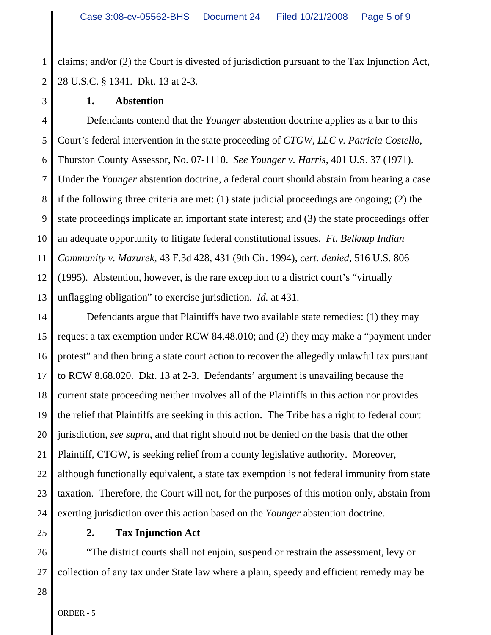1 2 claims; and/or (2) the Court is divested of jurisdiction pursuant to the Tax Injunction Act, 28 U.S.C. § 1341. Dkt. 13 at 2-3.

3

#### **1. Abstention**

4 5 6 7 8 9 10 11 12 13 Defendants contend that the *Younger* abstention doctrine applies as a bar to this Court's federal intervention in the state proceeding of *CTGW, LLC v. Patricia Costello*, Thurston County Assessor, No. 07-1110. *See Younger v. Harris*, 401 U.S. 37 (1971). Under the *Younger* abstention doctrine, a federal court should abstain from hearing a case if the following three criteria are met: (1) state judicial proceedings are ongoing; (2) the state proceedings implicate an important state interest; and (3) the state proceedings offer an adequate opportunity to litigate federal constitutional issues. *Ft. Belknap Indian Community v. Mazurek*, 43 F.3d 428, 431 (9th Cir. 1994), *cert. denied*, 516 U.S. 806 (1995). Abstention, however, is the rare exception to a district court's "virtually unflagging obligation" to exercise jurisdiction. *Id.* at 431.

14 15 16 17 18 19 20 21 22 23 24 Defendants argue that Plaintiffs have two available state remedies: (1) they may request a tax exemption under RCW 84.48.010; and (2) they may make a "payment under protest" and then bring a state court action to recover the allegedly unlawful tax pursuant to RCW 8.68.020. Dkt. 13 at 2-3. Defendants' argument is unavailing because the current state proceeding neither involves all of the Plaintiffs in this action nor provides the relief that Plaintiffs are seeking in this action. The Tribe has a right to federal court jurisdiction, *see supra*, and that right should not be denied on the basis that the other Plaintiff, CTGW, is seeking relief from a county legislative authority. Moreover, although functionally equivalent, a state tax exemption is not federal immunity from state taxation. Therefore, the Court will not, for the purposes of this motion only, abstain from exerting jurisdiction over this action based on the *Younger* abstention doctrine.

25

## **2. Tax Injunction Act**

26 27 "The district courts shall not enjoin, suspend or restrain the assessment, levy or collection of any tax under State law where a plain, speedy and efficient remedy may be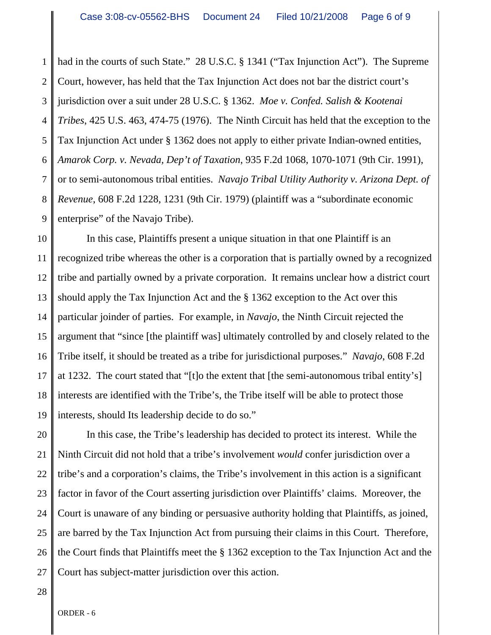1 2 3 4 5 6 7 8 9 had in the courts of such State." 28 U.S.C. § 1341 ("Tax Injunction Act"). The Supreme Court, however, has held that the Tax Injunction Act does not bar the district court's jurisdiction over a suit under 28 U.S.C. § 1362. *Moe v. Confed. Salish & Kootenai Tribes*, 425 U.S. 463, 474-75 (1976). The Ninth Circuit has held that the exception to the Tax Injunction Act under § 1362 does not apply to either private Indian-owned entities, *Amarok Corp. v. Nevada, Dep't of Taxation*, 935 F.2d 1068, 1070-1071 (9th Cir. 1991), or to semi-autonomous tribal entities. *Navajo Tribal Utility Authority v. Arizona Dept. of Revenue*, 608 F.2d 1228, 1231 (9th Cir. 1979) (plaintiff was a "subordinate economic enterprise" of the Navajo Tribe).

10 11 12 13 14 15 16 17 18 19 In this case, Plaintiffs present a unique situation in that one Plaintiff is an recognized tribe whereas the other is a corporation that is partially owned by a recognized tribe and partially owned by a private corporation. It remains unclear how a district court should apply the Tax Injunction Act and the § 1362 exception to the Act over this particular joinder of parties. For example, in *Navajo*, the Ninth Circuit rejected the argument that "since [the plaintiff was] ultimately controlled by and closely related to the Tribe itself, it should be treated as a tribe for jurisdictional purposes." *Navajo*, 608 F.2d at 1232. The court stated that "[t]o the extent that [the semi-autonomous tribal entity's] interests are identified with the Tribe's, the Tribe itself will be able to protect those interests, should Its leadership decide to do so."

20 21 22 23 24 25 26 27 In this case, the Tribe's leadership has decided to protect its interest. While the Ninth Circuit did not hold that a tribe's involvement *would* confer jurisdiction over a tribe's and a corporation's claims, the Tribe's involvement in this action is a significant factor in favor of the Court asserting jurisdiction over Plaintiffs' claims. Moreover, the Court is unaware of any binding or persuasive authority holding that Plaintiffs, as joined, are barred by the Tax Injunction Act from pursuing their claims in this Court. Therefore, the Court finds that Plaintiffs meet the § 1362 exception to the Tax Injunction Act and the Court has subject-matter jurisdiction over this action.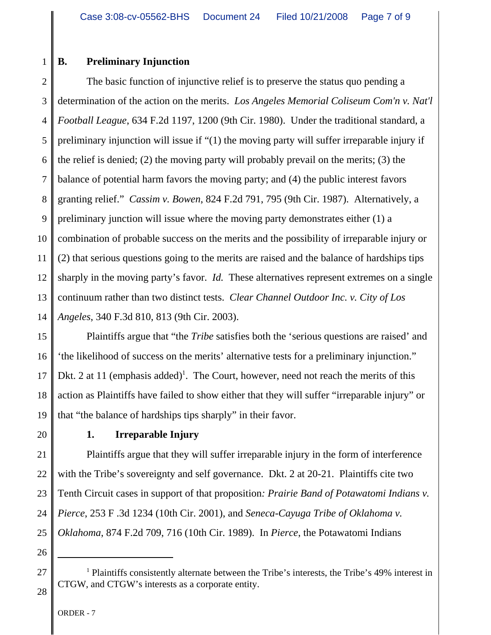#### 1 **B. Preliminary Injunction**

2 3 4 5 6 7 8 9 10 11 12 13 14 The basic function of injunctive relief is to preserve the status quo pending a determination of the action on the merits. *Los Angeles Memorial Coliseum Com'n v. Nat'l Football League*, 634 F.2d 1197, 1200 (9th Cir. 1980). Under the traditional standard, a preliminary injunction will issue if "(1) the moving party will suffer irreparable injury if the relief is denied; (2) the moving party will probably prevail on the merits; (3) the balance of potential harm favors the moving party; and (4) the public interest favors granting relief." *Cassim v. Bowen*, 824 F.2d 791, 795 (9th Cir. 1987). Alternatively, a preliminary junction will issue where the moving party demonstrates either (1) a combination of probable success on the merits and the possibility of irreparable injury or (2) that serious questions going to the merits are raised and the balance of hardships tips sharply in the moving party's favor. *Id.* These alternatives represent extremes on a single continuum rather than two distinct tests. *Clear Channel Outdoor Inc. v. City of Los Angeles*, 340 F.3d 810, 813 (9th Cir. 2003).

15 16 17 18 19 Plaintiffs argue that "the *Tribe* satisfies both the 'serious questions are raised' and 'the likelihood of success on the merits' alternative tests for a preliminary injunction." Dkt. 2 at 11 (emphasis added)<sup>1</sup>. The Court, however, need not reach the merits of this action as Plaintiffs have failed to show either that they will suffer "irreparable injury" or that "the balance of hardships tips sharply" in their favor.

20

# **1. Irreparable Injury**

21 22 23 24 25 Plaintiffs argue that they will suffer irreparable injury in the form of interference with the Tribe's sovereignty and self governance. Dkt. 2 at 20-21. Plaintiffs cite two Tenth Circuit cases in support of that proposition*: Prairie Band of Potawatomi Indians v. Pierce*, 253 F .3d 1234 (10th Cir. 2001), and *Seneca-Cayuga Tribe of Oklahoma v. Oklahoma*, 874 F.2d 709, 716 (10th Cir. 1989). In *Pierce*, the Potawatomi Indians

26

27

28

ORDER - 7

<sup>&</sup>lt;sup>1</sup> Plaintiffs consistently alternate between the Tribe's interests, the Tribe's 49% interest in CTGW, and CTGW's interests as a corporate entity.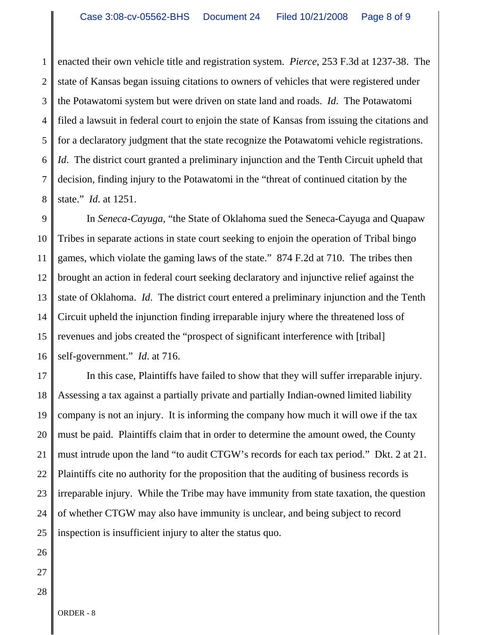1 2 3 4 5 6 7 8 enacted their own vehicle title and registration system. *Pierce*, 253 F.3d at 1237-38. The state of Kansas began issuing citations to owners of vehicles that were registered under the Potawatomi system but were driven on state land and roads. *Id*. The Potawatomi filed a lawsuit in federal court to enjoin the state of Kansas from issuing the citations and for a declaratory judgment that the state recognize the Potawatomi vehicle registrations. *Id.* The district court granted a preliminary injunction and the Tenth Circuit upheld that decision, finding injury to the Potawatomi in the "threat of continued citation by the state." *Id*. at 1251.

9 10 11 12 13 14 15 16 In *Seneca-Cayuga*, "the State of Oklahoma sued the Seneca-Cayuga and Quapaw Tribes in separate actions in state court seeking to enjoin the operation of Tribal bingo games, which violate the gaming laws of the state." 874 F.2d at 710. The tribes then brought an action in federal court seeking declaratory and injunctive relief against the state of Oklahoma. *Id*. The district court entered a preliminary injunction and the Tenth Circuit upheld the injunction finding irreparable injury where the threatened loss of revenues and jobs created the "prospect of significant interference with [tribal] self-government." *Id*. at 716.

17 18 19 20 21 22 23 24 25 In this case, Plaintiffs have failed to show that they will suffer irreparable injury. Assessing a tax against a partially private and partially Indian-owned limited liability company is not an injury. It is informing the company how much it will owe if the tax must be paid. Plaintiffs claim that in order to determine the amount owed, the County must intrude upon the land "to audit CTGW's records for each tax period." Dkt. 2 at 21. Plaintiffs cite no authority for the proposition that the auditing of business records is irreparable injury. While the Tribe may have immunity from state taxation, the question of whether CTGW may also have immunity is unclear, and being subject to record inspection is insufficient injury to alter the status quo.

- 26
- 27